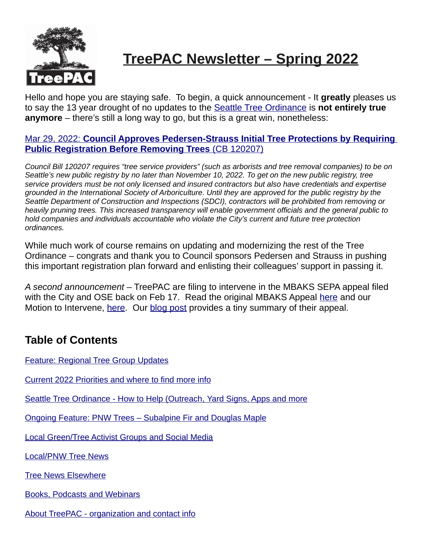

# **TreePAC Newsletter – Spring 2022**

Hello and hope you are staying safe. To begin, a quick announcement - It **greatly** pleases us to say the 13 year drought of no updates to the Seattle Tree Ordinance is **not entirely true anymore** – there's still a long way to go, but this is a great win, nonetheless:

#### [Mar 29, 2022:](https://council.seattle.gov/2022/03/29/council-approves-pedersen-strauss-initial-tree-protections-by-requiring-public-registration-before-removing-trees/) **[Council Approves Pedersen-Strauss Initial Tree Protections by Requiring](https://council.seattle.gov/2022/03/29/council-approves-pedersen-strauss-initial-tree-protections-by-requiring-public-registration-before-removing-trees/)  [Public Registration Before Removing Trees](https://council.seattle.gov/2022/03/29/council-approves-pedersen-strauss-initial-tree-protections-by-requiring-public-registration-before-removing-trees/)** [\(CB 120207\)](https://council.seattle.gov/2022/03/29/council-approves-pedersen-strauss-initial-tree-protections-by-requiring-public-registration-before-removing-trees/)

*Council Bill 120207 requires "tree service providers" (such as arborists and tree removal companies) to be on Seattle's new public registry by no later than November 10, 2022. To get on the new public registry, tree service providers must be not only licensed and insured contractors but also have credentials and expertise grounded in the International Society of Arboriculture. Until they are approved for the public registry by the Seattle Department of Construction and Inspections (SDCI), contractors will be prohibited from removing or heavily pruning trees. This increased transparency will enable government officials and the general public to hold companies and individuals accountable who violate the City's current and future tree protection ordinances.*

While much work of course remains on updating and modernizing the rest of the Tree Ordinance – congrats and thank you to Council sponsors Pedersen and Strauss in pushing this important registration plan forward and enlisting their colleagues' support in passing it.

*A second announcement* – TreePAC are filing to intervene in the MBAKS SEPA appeal filed with the City and OSE back on Feb 17. Read the original MBAKS Appeal [here](http://treepac.org/wp-content/uploads/2022/04/2022-0310-W-22-003-Notice-of-Appeal.pdf) and our Motion to Intervene, [here.](http://treepac.org/wp-content/uploads/2022/04/2022-04-14-TreePACs-Motion-to-Intervene.pdf) Our [blog post](https://treepac.org/treepac-intervention-petition-for-mbaks-sdci-appeal/) provides a tiny summary of their appeal.

# <span id="page-0-0"></span>**Table of Contents**

 [Feature: Regional Tree Group Updates](#page-1-0)

Current 2022 Priorities and where to find more info

<u>Seattle Tree Ordinance - How to Help (Outreach, Yard Signs, Apps and more</u>

Ongoing Feature: PNW Trees – Subalpine Fir and Douglas Maple

**Local Green/Tree Activist Groups and Social Media** 

Local/PNW Tree News

**Tree News Elsewhere** 

[Books, Podcasts and Webinars](#page-14-0)

[About TreePAC - organization and contact info](#page-16-0)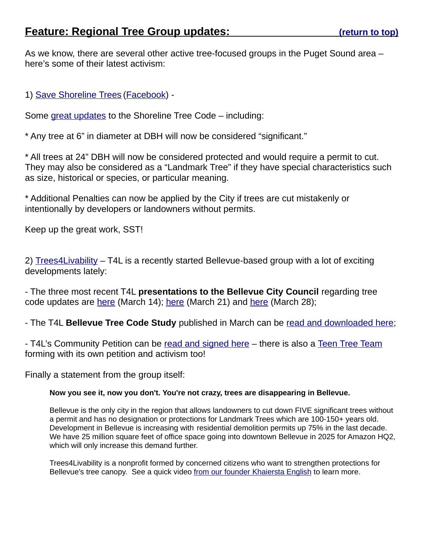<span id="page-1-0"></span>As we know, there are several other active tree-focused groups in the Puget Sound area – here's some of their latest activism:

1) [Save Shoreline Trees](https://saveshorelinetrees.com/) [\(Facebook\)](https://www.facebook.com/shorelinetrees/) -

Some [great updates](https://www.shorelineareanews.com/2022/04/shoreline-city-council-revises-tree.html) to the Shoreline Tree Code – including:

\* Any tree at 6" in diameter at DBH will now be considered "significant."

\* All trees at 24" DBH will now be considered protected and would require a permit to cut. They may also be considered as a "Landmark Tree" if they have special characteristics such as size, historical or species, or particular meaning.

\* Additional Penalties can now be applied by the City if trees are cut mistakenly or intentionally by developers or landowners without permits.

Keep up the great work, SST!

2) [Trees4Livability](https://trees4livability.org/) – T4L is a recently started Bellevue-based group with a lot of exciting developments lately:

- The three most recent T4L **presentations to the Bellevue City Council** regarding tree code updates are [here](https://youtu.be/hkrchCy12n0) (March 14); [here](https://youtu.be/K8DZhQLL548) (March 21) and [here](https://youtu.be/K8DZhQLL548) (March 28);

- The T4L **Bellevue Tree Code Study** published in March can be [read and downloaded here;](https://img1.wsimg.com/blobby/go/f0fcad98-2179-4732-9834-fbb9ebcba31f/BellevueTreeCodeStudy03112022-0001.pdf)

- T4L's Community Petition can be [read and signed here](https://trees4livability.org/tree-code-petition) – there is also a [Teen Tree Team](https://trees4livability.org/teen-tree-team) forming with its own petition and activism too!

Finally a statement from the group itself:

#### **Now you see it, now you don't. You're not crazy, trees are disappearing in Bellevue.**

Bellevue is the only city in the region that allows landowners to cut down FIVE significant trees without a permit and has no designation or protections for Landmark Trees which are 100-150+ years old. Development in Bellevue is increasing with residential demolition permits up 75% in the last decade. We have 25 million square feet of office space going into downtown Bellevue in 2025 for Amazon HQ2, which will only increase this demand further.

Trees4Livability is a nonprofit formed by concerned citizens who want to strengthen protections for Bellevue's tree canopy. See a quick video [from our founder Khaiersta English](https://vimeo.com/654655726/eec72fc60d) to learn more.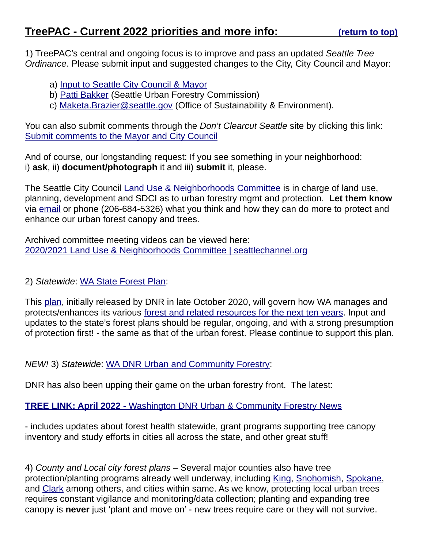<span id="page-2-0"></span>1) TreePAC's central and ongoing focus is to improve and pass an updated *Seattle Tree Ordinance*. Please submit input and suggested changes to the City, City Council and Mayor:

- a) [Input to Seattle City Council & Mayor](https://www.dontclearcutseattle.org/updateseattlestreeordinance/)
- b) [Patti Bakker](mailto:patricia.bakker@seattle.gov) (Seattle Urban Forestry Commission)
- c) [Maketa.Brazier@seattle.gov](mailto:Maketa.Brazier@seattle.gov) (Office of Sustainability & Environment).

You can also submit comments through the *Don't Clearcut Seattle* site by clicking this link: Submit comments to the Mayor and City Council

And of course, our longstanding request: If you see something in your neighborhood: i) **ask**, ii) **document/photograph** it and iii) **submit** it, please.

The Seattle City Council [Land Use & Neighborhoods Committee](https://www.seattle.gov/council/committees/land-use-and-neighborhoods) is in charge of land use, planning, development and SDCI as to urban forestry mgmt and protection. **Let them know** via [email](mailto:noah.an@seattle.gov) or phone (206-684-5326) what you think and how they can do more to protect and enhance our urban forest canopy and trees.

Archived committee meeting videos can be viewed here: [2020/2021 Land Use & Neighborhoods Committee | seattlechannel.org](https://www.seattlechannel.org/mayor-and-council/city-council/2020-2021-land-use-and-neighborhoods-committee)

2) *Statewide*: [WA State Forest Plan:](https://www.dnr.wa.gov/news/dnr-releases-forest-action-plan-setting-course-washington%E2%80%99s-forests)

This [plan,](https://www.dnr.wa.gov/ForestActionPlan) initially released by DNR in late October 2020, will govern how WA manages and protects/enhances its various [forest and related resources for the next ten years.](https://www.dnr.wa.gov/publications/rp_2020_forest_action_plan.pdf) Input and updates to the state's forest plans should be regular, ongoing, and with a strong presumption of protection first! - the same as that of the urban forest. Please continue to support this plan.

*NEW!* 3) *Statewide*: [WA DNR Urban and Community Forestry:](https://www.dnr.wa.gov/urbanforestry)

DNR has also been upping their game on the urban forestry front. The latest:

#### **[TREE LINK: April 2022 -](https://mailchi.mp/dnr.wa.gov/ycvillzgox-1080704)** [Washington DNR Urban & Community Forestry News](https://mailchi.mp/dnr.wa.gov/ycvillzgox-1080704)

- includes updates about forest health statewide, grant programs supporting tree canopy inventory and study efforts in cities all across the state, and other great stuff!

4) *County and Local city forest plans* – Several major counties also have tree protection/planting programs already well underway, including [King,](https://kingcounty.gov/services/environment/stewardship/one-million-trees.aspx) [Snohomish,](https://forterra.org/subpage/green-snohomish-county) [Spokane,](https://www.spokanecounty.org/317/Growing-Trees) and [Clark](https://clark.wa.gov/public-works/urban-tree-canopy-restoration-project) among others, and cities within same. As we know, protecting local urban trees requires constant vigilance and monitoring/data collection; planting and expanding tree canopy is **never** just 'plant and move on' - new trees require care or they will not survive.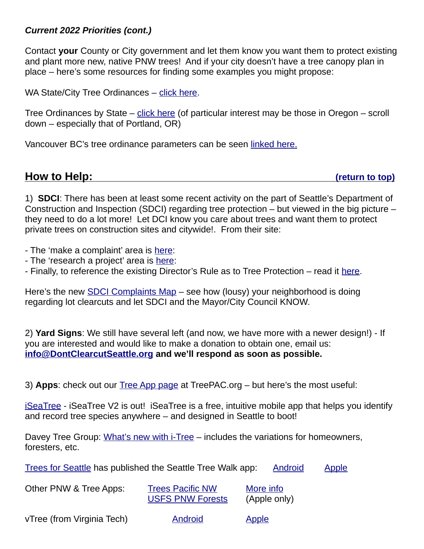## *Current 2022 Priorities (cont.)*

Contact **your** County or City government and let them know you want them to protect existing and plant more new, native PNW trees! And if your city doesn't have a tree canopy plan in place – here's some resources for finding some examples you might propose:

WA State/City Tree Ordinances – [click here.](http://friends.urbanforests.org/washington-state-tree-ordinances/)

Tree Ordinances by State – [click here](http://friends.urbanforests.org/tree-ordinances-in-other-states/) (of particular interest may be those in Oregon – scroll down – especially that of Portland, OR)

Vancouver BC's tree ordinance parameters can be seen [linked here.](http://friends.urbanforests.org/intl-tree-ordinances/)

<span id="page-3-0"></span>**How to Help: [\(return to top\)](#page-0-0)**

1) **SDCI**: There has been at least some recent activity on the part of Seattle's Department of Construction and Inspection (SDCI) regarding tree protection – but viewed in the big picture – they need to do a lot more! Let DCI know you care about trees and want them to protect private trees on construction sites and citywide!. From their site:

- The 'make a complaint' area is [here:](http://www.seattle.gov/sdci/codes/make%C2%A0a-property-or-building-complaint)

- The 'research a project' area is [here:](http://www.seattle.gov/sdci/resources/property-and-building-activity)
- Finally, to reference the existing Director's Rule as to Tree Protection read it [here.](http://www.seattle.gov/sdci/codes/codes-we-enforce-(a-z)/tree-protection-code)

Here's the new [SDCI Complaints Map](https://data.seattle.gov/Community/Code-Complaints-and-Violations-Map/rsmq-5vwm) – see how (lousy) your neighborhood is doing regarding lot clearcuts and let SDCI and the Mayor/City Council KNOW.

2) **Yard Signs**: We still have several left (and now, we have more with a newer design!) - If you are interested and would like to make a donation to obtain one, email us: **[info@DontClearcutSeattle.org](mailto:info@DontClearcutSeattle.org) and we'll respond as soon as possible.**

3) **Apps**: check out our [Tree App page](https://treepac.org/tree-apps/) at TreePAC.org – but here's the most useful:

[iSeaTree](https://treemama.org/the-tech-treehouse/iseatree/) - iSeaTree V2 is out! iSeaTree is a free, intuitive mobile app that helps you identify and record tree species anywhere – and designed in Seattle to boot!

Davey Tree Group: [What's new with i-Tree](https://www.davey.com/environmental-consulting-services/resources-news/whats-new-with-i-tree/) – includes the variations for homeowners, foresters, etc.

[Trees for Seattle](https://www.seattle.gov/trees/get-involved/tree-walks) has published the Seattle Tree Walk app: [Android](https://play.google.com/store/apps/details?id=com.cityofseattle.seattletreewalks) [Apple](https://apps.apple.com/us/app/seattle-tree-walks/id1481407534?ls=1)

| Other PNW & Tree Apps: | <b>Trees Pacific NW</b> | More info    |
|------------------------|-------------------------|--------------|
|                        | <b>USFS PNW Forests</b> | (Apple only) |

vTree (from Virginia Tech) [Android](https://play.google.com/store/apps/details?id=org.pottssoftware.agps21&feature=search_result#?t=W251bGwsMSwyLDEsIm9yZy5wb3R0c3NvZnR3YXJlLmFncHMyMSJd) [Apple](https://apps.apple.com/us/app/vtree/id576191197)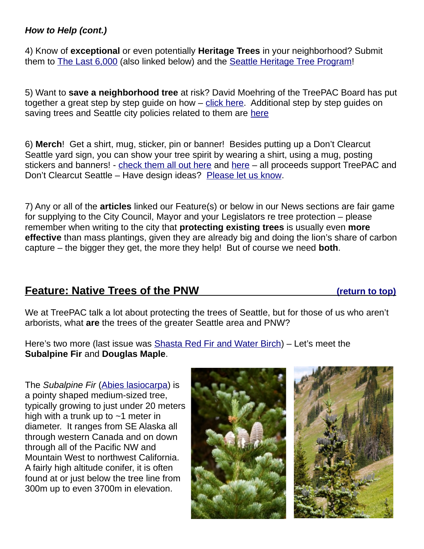## *How to Help (cont.)*

4) Know of **exceptional** or even potentially **Heritage Trees** in your neighborhood? Submit them to [The Last 6,000](https://www.thelast6000.org/) (also linked below) and the [Seattle Heritage Tree Program!](https://www.seattle.gov/transportation/projects-and-programs/programs/trees-and-landscaping-program/heritage-tree-program)

5) Want to **save a neighborhood tree** at risk? David Moehring of the TreePAC Board has put together a great step by step guide on how – [click here.](http://treepac.org/wp-content/uploads/2019/07/Visio-TreePAC-Save-Tree-Guide-2019.pdf) Additional step by step guides on saving trees and Seattle city policies related to them are [here](https://treepac.org/step-by-step-saving-seattle-trees-guide-new/)

6) **Merch**! Get a shirt, mug, sticker, pin or banner! Besides putting up a Don't Clearcut Seattle yard sign, you can show your tree spirit by wearing a shirt, using a mug, posting stickers and banners! - [check them all out here](https://treepac.org/treepac-shirts-and-merch/) and [here](https://www.teepublic.com/user/seattletrees) – all proceeds support TreePAC and Don't Clearcut Seattle – Have design ideas? Please let us know.

7) Any or all of the **articles** linked our Feature(s) or below in our News sections are fair game for supplying to the City Council, Mayor and your Legislators re tree protection – please remember when writing to the city that **protecting existing trees** is usually even **more effective** than mass plantings, given they are already big and doing the lion's share of carbon capture – the bigger they get, the more they help! But of course we need **both**.

# <span id="page-4-0"></span> **Feature: Native Trees of the PNW [\(](#page-0-0) [return to top\)](#page-0-0)**

We at TreePAC talk a lot about protecting the trees of Seattle, but for those of us who aren't arborists, what **are** the trees of the greater Seattle area and PNW?

Here's two more (last issue was [Shasta Red Fir and Water Birch\)](https://treepac.org/wp-content/uploads/2022/01/TreePAC_Newsletter_January_2022.pdf) – Let's meet the **Subalpine Fir** and **Douglas Maple**.

The *Subalpine Fir* [\(Abies lasiocarpa\)](https://en.wikipedia.org/wiki/Abies_lasiocarpa) is a pointy shaped medium-sized tree, typically growing to just under 20 meters high with a trunk up to  $\sim$ 1 meter in diameter. It ranges from SE Alaska all through western Canada and on down through all of the Pacific NW and Mountain West to northwest California. A fairly high altitude conifer, it is often found at or just below the tree line from 300m up to even 3700m in elevation.

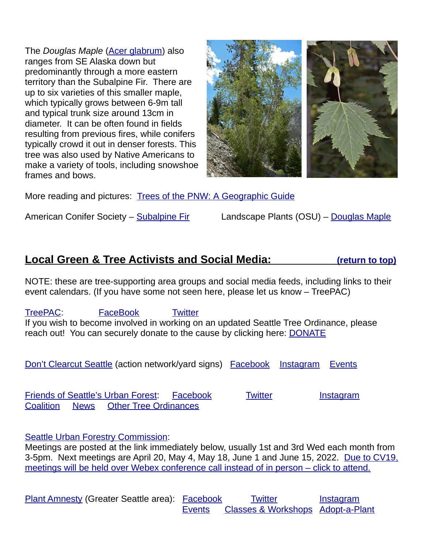The *Douglas Maple* [\(Acer glabrum\)](https://en.wikipedia.org/wiki/Acer_glabrum) also ranges from SE Alaska down but predominantly through a more eastern territory than the Subalpine Fir. There are up to six varieties of this smaller maple, which typically grows between 6-9m tall and typical trunk size around 13cm in diameter. It can be often found in fields resulting from previous fires, while conifers typically crowd it out in denser forests. This tree was also used by Native Americans to make a variety of tools, including snowshoe frames and bows.



More reading and pictures: Trees of the PNW: A Geographic Guide

American Conifer Society – [Subalpine Fir](https://conifersociety.org/conifers/abies-lasiocarpa/) Landscape Plants (OSU) – [Douglas Maple](https://landscapeplants.oregonstate.edu/plants/acer-glabrum)

# <span id="page-5-0"></span> **Local Green & Tree Activists and Social Media:** [\(return to top\)](#page-0-0)

NOTE: these are tree-supporting area groups and social media feeds, including links to their event calendars. (If you have some not seen here, please let us know – TreePAC)

[TreePAC:](https://treepac.org/) [FaceBook](https://www.facebook.com/TreePAC.org/) [Twitter](https://twitter.com/TreepacO) If you wish to become involved in working on an updated Seattle Tree Ordinance, please reach out! You can securely donate to the cause by clicking here: [DONATE](https://donorbox.org/support-treepac-and-seattle-s-urban-forest?amount=25)

[Don't Clearcut Seattle](https://www.dontclearcutseattle.org/) (action network/yard signs) [Facebook](https://www.facebook.com/dontclearcutseattle/) [Instagram](https://www.instagram.com/dontclearcutseattle/) [Events](https://www.dontclearcutseattle.org/events/)

[Friends of Seattle's Urban Forest:](http://friends.urbanforests.org/) [Facebook](https://www.facebook.com/FriendsofSeattlesUrbanForest/) [Twitter](https://twitter.com/ForestsUrban) [Instagram](https://www.instagram.com/friendsofseattlesurbanforest/) [Coalition](http://friends.urbanforests.org/coalition-for-a-stronger-tree-ordinance/) [News](http://friends.urbanforests.org/news/) [Other Tree Ordinances](http://friends.urbanforests.org/tree-ordinances-in-other-states/)

[Seattle Urban Forestry Commission:](https://www.seattle.gov/urbanforestrycommission)

Meetings are posted at the link immediately below, usually 1st and 3rd Wed each month from 3-5pm. Next meetings are April 20, May 4, May 18, June 1 and June 15, 2022. [Due to CV19,](https://www.seattle.gov/urbanforestrycommission/meetingschedule)  [meetings will be held over Webex conference call instead of in person – click to attend.](https://www.seattle.gov/urbanforestrycommission/meetingschedule)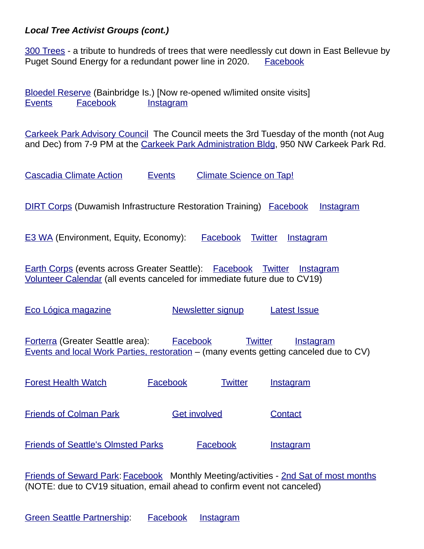## *Local Tree Activist Groups (cont.)*

[300 Trees](https://300trees.org/) - a tribute to hundreds of trees that were needlessly cut down in East Bellevue by Puget Sound Energy for a redundant power line in 2020. [Facebook](https://www.facebook.com/300trees-108347964072247)

[Bloedel Reserve](https://bloedelreserve.org/) (Bainbridge Is.) [Now re-opened w/limited onsite visits] [Events](http://bloedelreserve.org/events/) [Facebook](https://www.facebook.com/bloedelreserve) [Instagram](https://www.instagram.com/bloedelreserve/) 

[Carkeek Park Advisory Council](http://www.carkeekpark.org/carkeek-park-advisory-council/) The Council meets the 3rd Tuesday of the month (not Aug and Dec) from 7-9 PM at the Carkeek Park Administration Bldg, 950 NW Carkeek Park Rd.

[Cascadia Climate Action](https://cascadiaclimateaction.org/) [Events](https://cascadiaclimateaction.org/) [Climate Science on Tap!](https://cascadiaclimateaction.org/on-tap/)

[DIRT Corps](https://www.thedirtcorps.com/) (Duwamish Infrastructure Restoration Training) [Facebook](https://www.facebook.com/theDIRTcorps/) [Instagram](https://www.instagram.com/thedirtcorps/)

E3 WA (Environment, Equity, Economy): [Facebook](https://www.facebook.com/e3washington) [Twitter](https://twitter.com/E3Washington) [Instagram](https://www.instagram.com/e3washington/)

[Earth Corps](https://www.earthcorps.org/) (events across Greater Seattle): [Facebook](https://www.facebook.com/EarthCorps) [Twitter](https://twitter.com/EarthCorps) [Instagram](https://www.instagram.com/earthcorps/) [Volunteer Calendar](https://www.earthcorps.org/volunteer/calendar/) (all events canceled for immediate future due to CV19)

[Eco Lógica magazine](http://ecologicamagazine.com/) **[Newsletter signup](http://ecologicamagazine.com/newsletter-2/)** [Latest Issue](https://www.ecologicamagazine.com/current-edition/)

[Forterra](https://forterra.org/) (Greater Seattle area): [Facebook](https://www.facebook.com/ForterraNW) [Twitter](https://twitter.com/ForterraNW) [Instagram](https://www.instagram.com/ForterraNW/) Events and local Work Parties, restoration – (many events getting canceled due to CV)

| <b>Forest Health Watch</b>    | Facebook            | <b>Twitter</b> | <b>Instagram</b> |
|-------------------------------|---------------------|----------------|------------------|
| <b>Friends of Colman Park</b> | <b>Get involved</b> |                | Contact          |

[Friends of Seattle's Olmsted Parks](https://seattleolmsted.org/) [Facebook](https://www.facebook.com/seattleolmsted/) [Instagram](https://www.instagram.com/olmstedparks206/)

[Friends of Seward Park:](http://www.sewardpark.org/magforest.html) [Facebook](https://www.facebook.com/FriendsofSewardPark/) Monthly Meeting/activities - 2nd Sat of most months (NOTE: due to CV19 situation, email ahead to confirm event not canceled)

[Green Seattle Partnership:](https://www.greenseattle.org/) [Facebook](https://www.facebook.com/greenseattlepartnership) [Instagram](https://www.instagram.com/greenseattlepartnership/)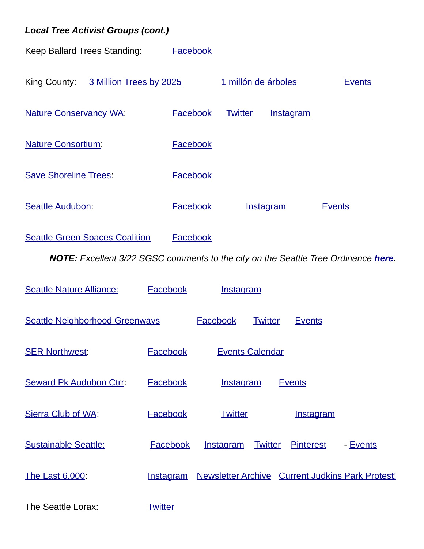# *Local Tree Activist Groups (cont.)*

Keep Ballard Trees Standing: [Facebook](https://www.facebook.com/ballardtrees/)



[Seattle Green Spaces Coalition](https://seattlegreenspaces.org/) [Facebook](https://www.facebook.com/seattlegreenspacescoalition)

*NOTE: Excellent 3/22 SGSC comments to the city on the Seattle Tree Ordinance [here.](http://treepac.org/wp-content/uploads/2022/04/SDCI_03-2022_tree_protection_draft_comments-1.pdf)*

| <b>Seattle Nature Alliance:</b>       | Facebook         | <b>Instagram</b>                   |                                                  |  |
|---------------------------------------|------------------|------------------------------------|--------------------------------------------------|--|
| <b>Seattle Neighborhood Greenways</b> |                  | <b>Facebook</b><br><b>Twitter</b>  | <b>Events</b>                                    |  |
| <b>SER Northwest:</b>                 | <b>Facebook</b>  | <b>Events Calendar</b>             |                                                  |  |
| <b>Seward Pk Audubon Ctrr:</b>        | Facebook         | <b>Instagram</b>                   | <b>Events</b>                                    |  |
| Sierra Club of WA:                    | Facebook         | <b>Twitter</b>                     | <u>Instagram</u>                                 |  |
| <b>Sustainable Seattle:</b>           | Facebook         | <b>Instagram</b><br><b>Twitter</b> | <b>Pinterest</b><br>- Events                     |  |
| The Last 6,000:                       | <b>Instagram</b> |                                    | Newsletter Archive Current Judkins Park Protest! |  |
| The Seattle Lorax:                    | <b>Twitter</b>   |                                    |                                                  |  |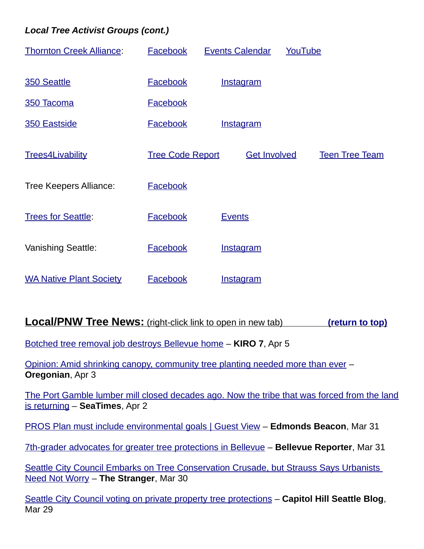# *Local Tree Activist Groups (cont.)*

| <b>Thornton Creek Alliance:</b> | <b>Facebook</b>         | <b>Events Calendar</b> | YouTube |                       |
|---------------------------------|-------------------------|------------------------|---------|-----------------------|
| 350 Seattle                     | <b>Facebook</b>         | <b>Instagram</b>       |         |                       |
| 350 Tacoma                      | <b>Facebook</b>         |                        |         |                       |
| 350 Eastside                    | Facebook                | <b>Instagram</b>       |         |                       |
| <b>Trees4Livability</b>         | <b>Tree Code Report</b> | <b>Get Involved</b>    |         | <b>Teen Tree Team</b> |
| <b>Tree Keepers Alliance:</b>   | <b>Facebook</b>         |                        |         |                       |
| <b>Trees for Seattle:</b>       | Facebook                | <b>Events</b>          |         |                       |
| <b>Vanishing Seattle:</b>       | <b>Facebook</b>         | <b>Instagram</b>       |         |                       |
| <b>WA Native Plant Society</b>  | <b>Facebook</b>         | <b>Instagram</b>       |         |                       |

# <span id="page-8-0"></span>**Local/PNW Tree News:** (right-click link to open in new tab) [\(return to top\)](#page-0-0)

[Botched tree removal job destroys Bellevue home](https://www.kiro7.com/news/local/botched-tree-removal-job-destroys-bellevue-home/2JUS7FCYWVFVZNXJC5V5UJM7YI/) – **KIRO 7**, Apr 5

[Opinion: Amid shrinking canopy, community tree planting needed more than ever](https://www.oregonlive.com/opinion/2022/04/opinion-amid-shrinking-canopy-community-tree-planting-needed-more-than-ever.html) – **Oregonian**, Apr 3

[The Port Gamble lumber mill closed decades ago. Now the tribe that was forced from the land](https://www.seattletimes.com/seattle-news/environment/the-port-gamble-lumber-mill-closed-decades-ago-now-the-tribe-that-was-forced-from-the-land-is-returning/) [is returning](https://www.seattletimes.com/seattle-news/environment/the-port-gamble-lumber-mill-closed-decades-ago-now-the-tribe-that-was-forced-from-the-land-is-returning/) – **SeaTimes**, Apr 2

[PROS Plan must include environmental goals | Guest View](https://www.edmondsbeacon.com/story/2022/03/31/opinion/pros-plan-must-include-environmental-goals-guest-view/26558.html) – **Edmonds Beacon**, Mar 31

[7th-grader advocates for greater tree protections in Bellevue](https://www.bellevuereporter.com/news/7th-grader-advocates-for-greater-tree-code-protections-in-bellevue/) – **Bellevue Reporter**, Mar 31

[Seattle City Council Embarks on Tree Conservation Crusade, but Strauss Says Urbanists](https://www.thestranger.com/slog/2022/03/30/69548451/seattle-city-council-embarks-on-tree-conservation-crusade-but-strauss-says-urbanists-need-not-worry)  [Need Not Worry](https://www.thestranger.com/slog/2022/03/30/69548451/seattle-city-council-embarks-on-tree-conservation-crusade-but-strauss-says-urbanists-need-not-worry) – **The Stranger**, Mar 30

Seattle City Council voting on private property tree protections - Capitol Hill Seattle Blog, Mar 29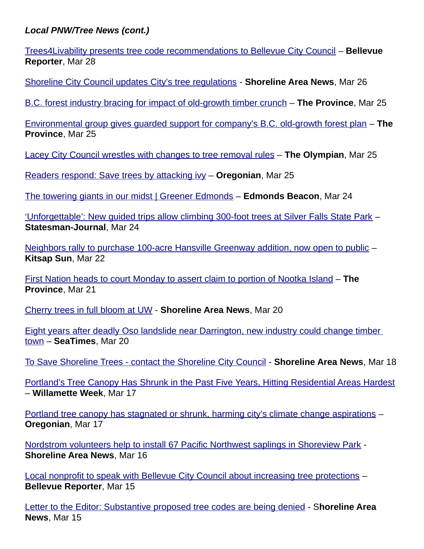[Trees4Livability presents tree code recommendations to Bellevue City Council](https://www.bellevuereporter.com/news/trees4livability-presents-tree-code-recommendations-to-bellevue-city-council/) – **Bellevue Reporter**, Mar 28

[Shoreline City Council updates City's tree regulations](https://www.shorelineareanews.com/2022/03/shoreline-city-council-updates-citys.html) - **Shoreline Area News**, Mar 26

[B.C. forest industry bracing for impact of old-growth timber crunch](https://theprovince.com/news/local-news/state-of-the-forestry-industry/wcm/3fc4bc0a-cb3c-47b8-871b-085fb5934860) – **The Province**, Mar 25

[Environmental group gives guarded support for company's B.C. old-growth forest plan](https://theprovince.com/news/local-news/environmental-group-gives-guarded-support-for-companys-b-c-old-growth-forest-plan/wcm/b4fb52f1-3438-4750-acb4-a5b803391872) – **The Province**, Mar 25

[Lacey City Council wrestles with changes to tree removal rules](https://www.theolympian.com/news/local/article259759990.html) – **The Olympian**, Mar 25

[Readers respond: Save trees by attacking ivy](https://www.oregonlive.com/opinion/2022/03/readers-respond-save-trees-by-attacking-ivy.html) – **Oregonian**, Mar 25

[The towering giants in our midst | Greener Edmonds](https://www.edmondsbeacon.com/story/2022/03/24/opinion/the-towering-giants-in-our-midst-greener-edmonds/26539.html) – **Edmonds Beacon**, Mar 24

[' Unforgettable': New guided trips allow climbing 300-foot trees at Silver Falls State Park](https://www.statesmanjournal.com/story/travel/outdoors/2022/03/24/climb-300-foot-trees-at-oregon-silver-falls-state-park-with-new-guided-outfitter-trips-rope-climbing/65346393007/) – **Statesman-Journal**, Mar 24

[Neighbors rally to purchase 100-acre Hansville Greenway addition, now open to public](https://www.kitsapsun.com/story/news/2022/03/22/residents-rally-purchase-100-acre-north-kitsap-timber-land-addition-hansville-greenway-green-spaces/7122176001/) – **Kitsap Sun**, Mar 22

[First Nation heads to court Monday to assert claim to portion of Nootka Island](https://theprovince.com/news/local-news/bc-supreme-court-to-hear-lawsuit-over-first-nations-land-rights/wcm/ca9f290c-1b56-4c99-bb6d-f8aaec83dd5c) – **The Province**, Mar 21

[Cherry trees in full bloom at UW](https://www.shorelineareanews.com/2022/03/cherry-trees-in-full-bloom-at-uw.html) - **Shoreline Area News**, Mar 20

[Eight years after deadly Oso landslide near Darrington, new industry could change timber](https://www.seattletimes.com/seattle-news/eight-years-after-deadly-landslide-near-darrington-new-industry-could-change-timber-town/)  [town](https://www.seattletimes.com/seattle-news/eight-years-after-deadly-landslide-near-darrington-new-industry-could-change-timber-town/) – **SeaTimes**, Mar 20

[To Save Shoreline Trees - contact the Shoreline City Council](https://www.shorelineareanews.com/2022/03/op-ed-saving-shoreline-trees.html) - **Shoreline Area News**, Mar 18

[Portland's Tree Canopy Has Shrunk in the Past Five Years, Hitting Residential Areas Hardest](https://www.wweek.com/news/2022/03/17/portlands-tree-canopy-has-shrunk-over-the-past-five-years-hitting-residential-areas-hardest/) – **Willamette Week**, Mar 17

[Portland tree canopy has stagnated or shrunk, harming city's climate change aspirations](https://www.oregonlive.com/politics/2022/03/portland-tree-canopy-has-stagnated-or-shrunk-harming-citys-climate-change-aspirations.html) – **Oregonian**, Mar 17

[Nordstrom volunteers help to install 67 Pacific Northwest saplings in Shoreview Park](https://www.shorelineareanews.com/2022/03/nordstrom-volunteers-help-to-install-67.html) - **Shoreline Area News**, Mar 16

[Local nonprofit to speak with Bellevue City Council about increasing tree protections](https://www.bellevuereporter.com/news/local-nonprofit-to-speak-with-bellevue-city-council-about-increasing-tree-protections/) – **Bellevue Reporter**, Mar 15

[Letter to the Editor: Substantive proposed tree codes are being denied](https://www.shorelineareanews.com/2022/03/letter-to-editor-substantive-proposed.html) - S**horeline Area News**, Mar 15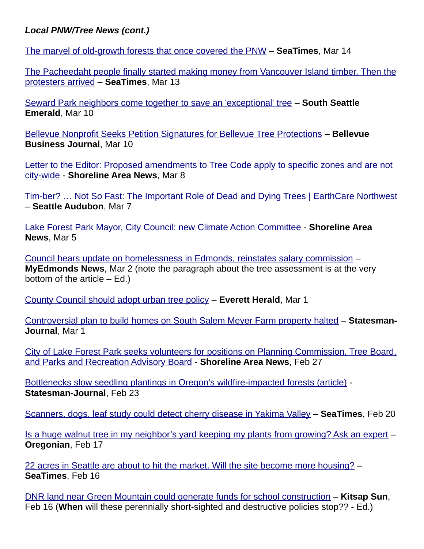The marvel of old-growth forests that once covered the PNW – **SeaTimes**, Mar 14

[The Pacheedaht people finally started making money from Vancouver Island timber. Then the](https://www.seattletimes.com/seattle-news/environment/the-pacheedaht-people-finally-started-making-money-from-vancouver-island-timber-then-the-protesters-arrived/) [protesters arrived](https://www.seattletimes.com/seattle-news/environment/the-pacheedaht-people-finally-started-making-money-from-vancouver-island-timber-then-the-protesters-arrived/) – **SeaTimes**, Mar 13

Seward Park neighbors come together to save an 'exceptional' tree – **South Seattle Emerald**, Mar 10

[Bellevue Nonprofit Seeks Petition Signatures for Bellevue Tree Protections](https://bellevuebusinessjournal.com/2022/03/10/bellevue-nonprofit-seeks-petition-signatures-for-bellevue-tree-protections/) – **Bellevue Business Journal**, Mar 10

[Letter to the Editor: Proposed amendments to Tree Code apply to specific zones and are not](https://www.shorelineareanews.com/2022/03/letter-to-editor-proposed-amendments-to.html)  [city-wide](https://www.shorelineareanews.com/2022/03/letter-to-editor-proposed-amendments-to.html) - **Shoreline Area News**, Mar 8

[Tim-ber? … Not So Fast: The Important Role of Dead and Dying Trees | EarthCare Northwest](https://seattleaudubon.org/2022/03/07/dead-and-dying-trees/) – **Seattle Audubon**, Mar 7

 [Lake Forest Park Mayor, City Council: new Climate Action Committee](https://www.shorelineareanews.com/2022/03/lake-forest-park-mayor-and-city-council.html) - **Shoreline Area News**, Mar 5

[Council hears update on homelessness in Edmonds, reinstates salary commission](https://myedmondsnews.com/2022/03/council-hears-update-on-homelessness-in-edmonds-reinstates-salary-commission/) – **MyEdmonds News**, Mar 2 (note the paragraph about the tree assessment is at the very bottom of the article  $-$  Ed.)

[County Council should adopt urban tree policy](https://www.heraldnet.com/opinion/county-council-should-adopt-urban-tree-policy/) – **Everett Herald**, Mar 1

[Controversial plan to build homes on South Salem Meyer Farm property halted](https://www.statesmanjournal.com/story/news/local/2022/03/01/salem-city-council-votes-to-deny-meyer-farm-subdivision-plan-development-housing-trees/64926673007/) – **Statesman-Journal**, Mar 1

[City of Lake Forest Park seeks volunteers for positions on Planning Commission, Tree Board,](https://www.shorelineareanews.com/2022/02/city-of-lake-forest-park-seeks.html) [and Parks and Recreation Advisory Board](https://www.shorelineareanews.com/2022/02/city-of-lake-forest-park-seeks.html) - **Shoreline Area News**, Feb 27

Bottlenecks slow seedling plantings in Oregon's wildfire-impacted forests (article) -**Statesman-Journal**, Feb 23

[Scanners, dogs, leaf study could detect cherry disease in Yakima Valley](https://www.seattletimes.com/business/agriculture/scanners-dogs-leaf-study-could-help-detect-little-cherry-disease-in-yakima-valley/) – **SeaTimes**, Feb 20

[Is a huge walnut tree in my neighbor's yard keeping my plants from growing? Ask an expert](https://www.oregonlive.com/hg/2022/02/is-a-huge-walnut-tree-in-my-neighbors-yard-keeping-my-plants-from-growing-ask-an-expert.html) – **Oregonian**, Feb 17

[22 acres in Seattle are about to hit the market. Will the site become more housing?](https://www.seattletimes.com/business/real-estate/22-acres-in-seattle-are-about-to-hit-the-market-will-the-site-become-more-housing/) – **SeaTimes**, Feb 16

DNR land near Green Mountain could generate funds for school construction – **Kitsap Sun**, Feb 16 (**When** will these perennially short-sighted and destructive policies stop?? - Ed.)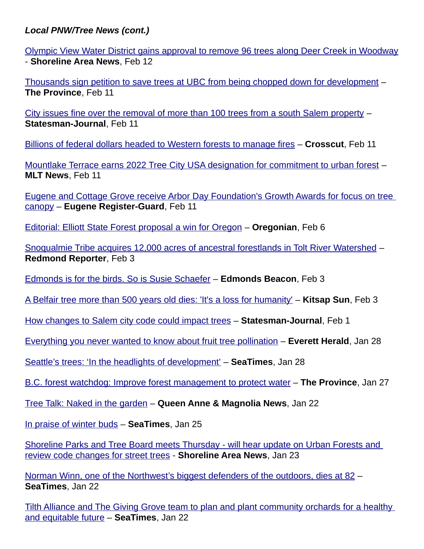[Olympic View Water District gains approval to remove 96 trees along Deer Creek in Woodway](https://www.shorelineareanews.com/2022/02/olympic-view-water-district-gains.html) - **Shoreline Area News**, Feb 12

[Thousands sign petition to save trees at UBC from being chopped down for development](https://theprovince.com/news/thousands-sign-petition-to-save-trees-at-ubc-from-being-chopped-down-for-development/wcm/10e17391-d699-4cad-b85f-ff974911e5e3) – **The Province**, Feb 11

[City issues fine over the removal of more than 100 trees from a south Salem property](https://www.statesmanjournal.com/story/news/2022/02/11/salem-trees-removal-property-marietta-oregon-white-oaks/6754361001/) – **Statesman-Journal**, Feb 11

[Billions of federal dollars headed to Western forests to manage fires](https://crosscut.com/environment/2022/02/billions-federal-dollars-headed-western-forests-manage-fires) – **Crosscut**, Feb 11

[Mountlake Terrace earns 2022 Tree City USA designation for commitment to urban forest](https://mltnews.com/mountlake-terrace-earns-2022-tree-city-usa-designation-for-commitment-to-urban-forest/) – **MLT News**, Feb 11

[Eugene and Cottage Grove receive Arbor Day Foundation's Growth Awards for focus on tree](https://www.registerguard.com/story/news/environment/2022/02/11/eugene-cottage-grove-arbor-day-foundation-growth-awards-trees/6737308001/)  [canopy](https://www.registerguard.com/story/news/environment/2022/02/11/eugene-cottage-grove-arbor-day-foundation-growth-awards-trees/6737308001/) – **Eugene Register-Guard**, Feb 11

[Editorial: Elliott State Forest proposal a win for Oregon](https://www.oregonlive.com/opinion/2022/02/editorial-elliott-state-forest-proposal-a-win-for-oregon.html) – **Oregonian**, Feb 6

[Snoqualmie Tribe acquires 12,000 acres of ancestral forestlands in Tolt River Watershed](https://www.redmond-reporter.com/news/snoqualmie-tribe-acquires-12000-acres-of-ancestral-forestlands-in-tolt-river-watershed/) – **Redmond Reporter**, Feb 3

[Edmonds is for the birds. So is Susie Schaefer](https://www.edmondsbeacon.com/story/2022/02/03/news/edmonds-is-for-the-birds-so-is-susie-schaefer/26285.html) – **Edmonds Beacon**, Feb 3

 [A Belfair tree more than 500 years old dies: 'It's a loss for humanity'](https://www.kitsapsun.com/story/news/2022/02/03/douglas-fir-belfair-washington-state-500-years-old-cut-down/6641941001/) – **Kitsap Sun**, Feb 3

[How changes to Salem city code could impact trees](https://www.statesmanjournal.com/story/news/2022/02/01/salem-oregon-city-code-changes-backyard-chicken-tending-tree-preservation/9245808002/) – **Statesman-Journal**, Feb 1

[Everything you never wanted to know about fruit tree pollination](https://www.heraldnet.com/life/everything-you-never-wanted-to-know-about-fruit-tree-pollination/) – **Everett Herald**, Jan 28

[Seattle's trees: 'In the headlights of development'](https://www.seattletimes.com/opinion/letters-to-the-editor/seattles-trees-in-the-headlights-of-development/) – **SeaTimes**, Jan 28

B.C. forest watchdog: Improve forest management to protect water – **The Province**, Jan 27

[Tree Talk: Naked in the garden](https://queenannenews.com/Content/News/Homepage-Rotating-Articles/Article/-span-style-font-weight-bold-Tree-span-Talk-Naked-in-the-garden/26/538/42291?s=1) – **Queen Anne & Magnolia News**, Jan 22

[In praise of winter buds](https://www.seattletimes.com/seattle-news/in-praise-of-winter-buds/) – **SeaTimes**, Jan 25

[Shoreline Parks and Tree Board meets Thursday - will hear update on Urban Forests and](https://www.shorelineareanews.com/2022/01/shoreline-parks-and-tree-board-meets.html)  [review code changes for street trees](https://www.shorelineareanews.com/2022/01/shoreline-parks-and-tree-board-meets.html) - **Shoreline Area News**, Jan 23

Norman Winn, one of the Northwest's biggest defenders of the outdoors, dies at 82 – **SeaTimes**, Jan 22

[Tilth Alliance and The Giving Grove team to plan and plant community orchards for a healthy](https://www.seattletimes.com/pacific-nw-magazine/tilth-alliance-and-the-giving-grove-team-to-plan-and-plant-community-orchards-for-a-healthy-and-equitable-future/)  [and equitable future](https://www.seattletimes.com/pacific-nw-magazine/tilth-alliance-and-the-giving-grove-team-to-plan-and-plant-community-orchards-for-a-healthy-and-equitable-future/) – **SeaTimes**, Jan 22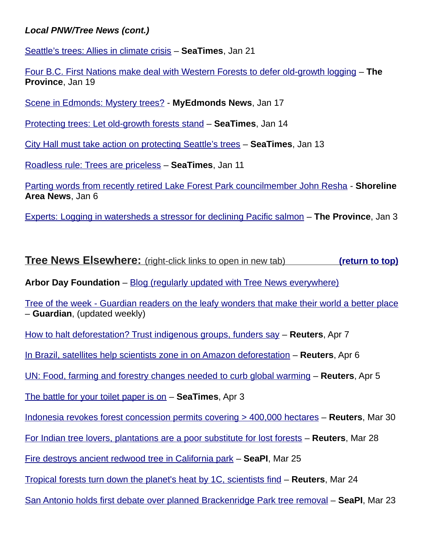[Seattle's trees: Allies in climate crisis](https://www.seattletimes.com/opinion/letters-to-the-editor/seattles-trees-allies-in-climate-crisis/) – **SeaTimes**, Jan 21

[Four B.C. First Nations make deal with Western Forests to defer old-growth logging](https://theprovince.com/news/local-news/four-b-c-first-nations-make-deal-with-western-forests-to-defer-old-growth-logging/wcm/48e78514-d023-49ed-a489-9d12d573a08f) – **The Province**, Jan 19

[Scene in Edmonds: Mystery trees?](https://myedmondsnews.com/2022/01/scene-in-edmonds-mystery-trees/) - **MyEdmonds News**, Jan 17

[Protecting trees: Let old-growth forests stand](https://www.seattletimes.com/opinion/letters-to-the-editor/protecting-trees-let-old-growth-forests-stand/) – **SeaTimes**, Jan 14

[City Hall must take action on protecting Seattle's trees](https://www.seattletimes.com/opinion/editorials/city-hall-must-take-action-on-protecting-seattles-trees/) – **SeaTimes**, Jan 13

[Roadless rule: Trees are priceless](https://www.seattletimes.com/opinion/letters-to-the-editor/roadless-rule-trees-are-priceless/) – **SeaTimes**, Jan 11

[Parting words from recently retired Lake Forest Park councilmember John Resha](https://www.shorelineareanews.com/2022/01/parting-words-from-recently-retired.html) - **Shoreline Area News**, Jan 6

Experts: Logging in watersheds a stressor for declining Pacific salmon – **The Province**, Jan 3

<span id="page-12-0"></span>**Tree News Elsewhere:** (right-click links to open in new tab) **[\(return to top\)](#page-0-0)** 

**Arbor Day Foundation** – [Blog \(regularly updated with Tree News everywhere\)](https://arbordayblog.org/)

 [Tree of the week - Guardian readers on the leafy wonders that make their world a better place](https://www.theguardian.com/lifeandstyle/series/tree-of-the-week) – **Guardian**, (updated weekly)

[How to halt deforestation? Trust indigenous groups, funders say](https://www.reuters.com/article/idUSL5N2W54IX) – **Reuters**, Apr 7

[In Brazil, satellites help scientists zone in on Amazon deforestation](https://www.reuters.com/article/idUSL5N2W24CW) – **Reuters**, Apr 6

UN: Food, farming and forestry changes needed to curb global warming – **Reuters**, Apr 5

[The battle for your toilet paper is on](https://www.seattletimes.com/business/the-battle-for-your-toilet-paper-is-on/) – **SeaTimes**, Apr 3

 [Indonesia revokes forest concession permits covering > 400,000 hectares](https://www.reuters.com/business/environment/indonesia-revokes-forest-concession-permits-covering-over-400000-hectares-2022-03-30/) – **Reuters**, Mar 30

[For Indian tree lovers, plantations are a poor substitute for lost forests](https://www.reuters.com/article/idUSL5N2VP2JW) – **Reuters**, Mar 28

[Fire destroys ancient redwood tree in California park](https://www.seattlepi.com/news/article/Fire-destroys-ancient-redwood-tree-in-California-17029650.php) – **SeaPI**, Mar 25

[Tropical forests turn down the planet's heat by 1C, scientists find](https://www.reuters.com/article/idUSL3N2VL23N) – **Reuters**, Mar 24

[San Antonio holds first debate over planned Brackenridge Park tree removal](https://www.seattlepi.com/news/local/article/San-Antonio-Brackenridge-Park-tree-removal-17021678.php) – **SeaPI**, Mar 23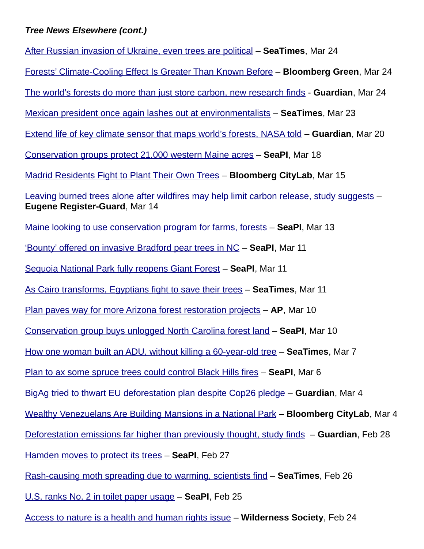## *Tree News Elsewhere (cont.)*

[After Russian invasion of Ukraine, even trees are political](https://www.seattletimes.com/nation-world/after-russian-invasion-of-ukraine-even-trees-are-political/) – **SeaTimes**, Mar 24 Forests' Climate-Cooling Effect Is Greater Than Known Before - **Bloomberg Green**, Mar 24 [The world's forests do more than just store carbon, new research finds](https://www.theguardian.com/environment/2022/mar/23/forests-climate-crisis-carbon-cooling-effect) - **Guardian**, Mar 24 [Mexican president once again lashes out at environmentalists](https://www.seattletimes.com/entertainment/mexican-president-once-again-lashes-out-at-environmentalists/) – **SeaTimes**, Mar 23 [Extend life of key climate sensor that maps world's forests, NASA told](https://www.theguardian.com/environment/2022/mar/20/nasa-urged-to-extend-life-of-key-climate-sensor-that-maps-worlds-forests-gedi-aoe) – **Guardian**, Mar 20 [Conservation groups protect 21,000 western Maine acres](https://www.seattlepi.com/news/article/Conservation-groups-protect-21-000-western-Maine-17011637.php) – **SeaPI**, Mar 18 [Madrid Residents Fight to Plant Their Own Trees](https://www.bloomberg.com/news/newsletters/2022-03-15/citylab-daily-madrid-residents-fight-to-plant-their-own-trees) – **Bloomberg CityLab**, Mar 15 [Leaving burned trees alone after wildfires may help limit carbon release, study suggests](https://www.registerguard.com/story/news/environment/2022/03/14/carbon-stays-large-trees-wildfires-forests-study-oregon-state-university/65344952007/) -**Eugene Register-Guard**, Mar 14 [Maine looking to use conservation program for farms, forests](https://www.seattlepi.com/news/article/Maine-looking-to-use-conservation-program-for-16998113.php) – **SeaPI**, Mar 13 ['Bounty' offered on invasive Bradford pear trees in NC](https://www.seattlepi.com/news/article/Bounty-offered-on-invasive-Bradford-pear-16994834.php) – **SeaPI**, Mar 11 [Sequoia National Park fully reopens Giant Forest](https://www.seattlepi.com/news/article/Sequoia-National-Park-fully-reopens-Giant-Forest-16994658.php) – **SeaPI**, Mar 11 [As Cairo transforms, Egyptians fight to save their trees](https://www.seattletimes.com/nation-world/as-cairo-transforms-egyptians-fight-to-save-their-trees/) – **SeaTimes**, Mar 11 [Plan paves way for more Arizona forest restoration projects](https://www.usnews.com/news/best-states/arizona/articles/2022-03-10/plan-paves-way-for-more-arizona-forest-restoration-projects) – **AP**, Mar 10 [Conservation group buys unlogged North Carolina forest land](https://www.seattlepi.com/news/article/Conservation-group-buys-unlogged-North-Carolina-16991601.php) – **SeaPI**, Mar 10 [How one woman built an ADU, without killing a 60-year-old tree](https://www.seattletimes.com/explore/at-home/how-one-woman-built-an-adu-without-killing-a-60-year-old-tree/) – **SeaTimes**, Mar 7 [Plan to ax some spruce trees could control Black Hills fires](https://www.seattlepi.com/news/article/Plan-to-ax-some-spruce-trees-could-control-Black-16981158.php) – **SeaPI**, Mar 6  [BigAg tried to thwart EU deforestation plan despite Cop26 pledge](https://www.theguardian.com/environment/2022/mar/04/agribusiness-giants-tried-to-thwart-eu-deforestation-plan-after-cop26-pledge) – **Guardian**, Mar 4 [Wealthy Venezuelans Are Building Mansions in a National Park](https://www.bloomberg.com/news/features/2022-03-04/wealthy-venezuelans-are-building-mansions-in-a-national-park) – **Bloomberg CityLab**, Mar 4 [Deforestation emissions far higher than previously thought, study finds](https://www.theguardian.com/environment/2022/feb/28/deforestation-emissions-far-higher-than-previously-thought-study-finds-aoe) – **Guardian**, Feb 28 [Hamden moves to protect its trees](https://www.seattlepi.com/metro/article/Hamden-moves-to-protect-its-trees-16948280.php) – **SeaPI**, Feb 27 [Rash-causing moth spreading due to warming, scientists find](https://www.seattletimes.com/seattle-news/health/rash-causing-moth-spreading-due-to-warming-scientists-find/) – **SeaTimes**, Feb 26 [U.S. ranks No. 2 in toilet paper usage](https://www.seattlepi.com/news/article/US-No-2-in-toilet-paper-usage-16947617.php) – **SeaPI**, Feb 25

[Access to nature is a health and human rights issue](https://www.wilderness.org/articles/blog/access-nature-health-and-human-rights-issue) – **Wilderness Society**, Feb 24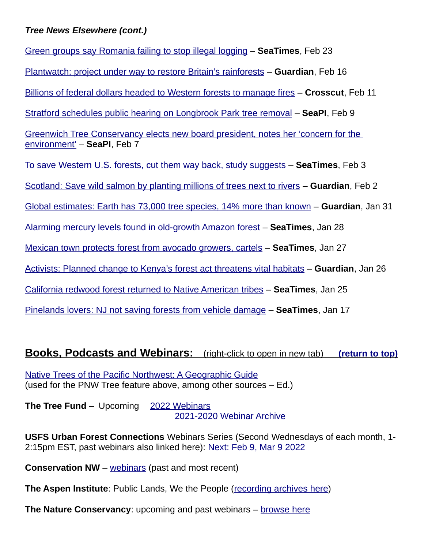## *Tree News Elsewhere (cont.)*

[Green groups say Romania failing to stop illegal logging](https://www.seattletimes.com/seattle-news/science/campaigners-say-romania-failing-to-stop-illegal-logging/) – **SeaTimes**, Feb 23 [Plantwatch: project under way to restore Britain's rainforests](https://www.theguardian.com/environment/2022/feb/16/plantwatch-project-restore-britain-rainforests-snowdonia) – **Guardian**, Feb 16 [Billions of federal dollars headed to Western forests to manage fires](https://crosscut.com/environment/2022/02/billions-federal-dollars-headed-western-forests-manage-fires) – **Crosscut**, Feb 11 [Stratford schedules public hearing on Longbrook Park tree removal](https://www.seattlepi.com/news/article/Stratford-schedules-public-hearing-on-Longbrook-16842845.php) – **SeaPI**, Feb 9 [Greenwich Tree Conservancy elects new board president, notes her 'concern for the](https://www.seattlepi.com/news/article/Greenwich-Tree-Conservancy-elects-new-board-16838363.php)  [environment'](https://www.seattlepi.com/news/article/Greenwich-Tree-Conservancy-elects-new-board-16838363.php) – **SeaPI**, Feb 7 [To save Western U.S. forests, cut them way back, study suggests](https://www.seattletimes.com/nation-world/to-save-western-u-s-forests-cut-them-way-back-study-suggests/) – **SeaTimes**, Feb 3 Scotland: Save wild salmon by planting millions of trees next to rivers – **Guardian**, Feb 2 Global estimates: Earth has 73,000 tree species, 14% more than known - **Guardian**, Jan 31 [Alarming mercury levels found in old-growth Amazon forest](https://www.seattletimes.com/nation-world/alarming-mercury-levels-found-in-old-growth-amazon-forest/) – **SeaTimes**, Jan 28 [Mexican town protects forest from avocado growers, cartels](https://www.seattletimes.com/business/in-mexico-avocados-deforestation-drug-gangs-go-together/) – **SeaTimes**, Jan 27 Activists: Planned change to Kenya's forest act threatens vital habitats – **Guardian**, Jan 26 [California redwood forest returned to Native American tribes](https://www.seattletimes.com/business/california-redwood-forest-returned-to-native-tribal-group/) – **SeaTimes**, Jan 25 [Pinelands lovers: NJ not saving forests from vehicle damage](https://www.seattletimes.com/nation-world/nation/pinelands-lovers-nj-not-saving-forests-from-vehicle-damage/) – **SeaTimes**, Jan 17

# <span id="page-14-0"></span>**Books, Podcasts and Webinars:** (right-click to open in new tab) [\(return to top\)](#page-0-0)

[Native Trees of the Pacific Northwest: A Geographic Guide](https://www.arcgis.com/apps/MapJournal/index.html?appid=d3295191730a49f691379d7962b20bb0) (used for the PNW Tree feature above, among other sources – Ed.)

**The Tree Fund** – Upcoming 2022 Webinars 2021-2020 Webinar Archive

**USFS Urban Forest Connections** Webinars Series (Second Wednesdays of each month, 1- 2:15pm EST, past webinars also linked here): Next: Feb 9, Mar 9 2022

**Conservation NW** – [webinars](https://www.conservationnw.org/?s=webinar) (past and most recent)

**The Aspen Institute**: Public Lands, We the People [\(recording archives here\)](https://www.aspeninstitute.org/programs/energy-and-environment-program/public-lands/)

**The Nature Conservancy**: upcoming and past webinars – [browse here](https://www.nature.org/en-us/search/?q=webinar&fq=&start=0&size=8&sort=publish_date%20desc)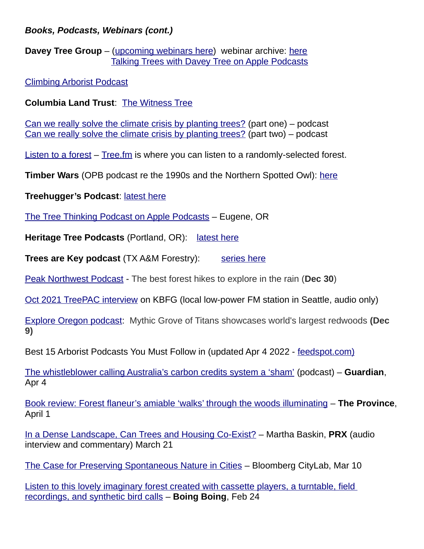## *Books, Podcasts, Webinars (cont.)*

**Davey Tree Group** – (upcoming webinars [here](https://www.gotostage.com/channel/86a49f80873842dc9b91df62f2466ad8)) webinar archive: here [Talking Trees with Davey Tree on Apple Podcasts](https://podcasts.apple.com/us/podcast/talking-trees-with-davey-tree/id1547672733)

[Climbing Arborist Podcast](https://www.climbingarborist.com/podcast/)

**Columbia Land Trust**: [The Witness Tree](https://www.columbialandtrust.org/the-witness-tree/)

[Can we really solve the climate crisis by planting trees?](https://www.theguardian.com/science/audio/2021/aug/31/can-we-really-solve-the-climate-crisis-by-planting-trees-part-one-podcast) (part one) – podcast [Can we really solve the climate crisis by planting trees?](https://www.theguardian.com/environment/audio/2021/sep/02/can-we-really-solve-the-climate-crisis-by-planting-trees-part-two-podcast) (part two) – podcast

[Listen to a forest](https://boingboing.net/2021/02/03/listen-to-a-forest.html) – [Tree.fm](https://www.tree.fm/) is where you can listen to a randomly-selected forest.

**Timber Wars** (OPB podcast re the 1990s and the Northern Spotted Owl): [here](https://www.npr.org/podcasts/906829608/timber-wars)

**Treehugger's Podcast**: [latest here](https://treehugger.libsyn.com/)

[The Tree Thinking Podcast on Apple Podcasts](https://podcasts.apple.com/us/podcast/the-tree-thinking-podcast/id1550239164) – Eugene, OR

**Heritage Tree Podcasts** (Portland, OR): [latest here](https://soundcloud.com/heritage-tree-podcasts)

**Trees are Key podcast** (TX A&M Forestry): [series here](https://tfsweb.tamu.edu/podcasts/treesarekey/)

[Peak Northwest Podcast](https://play.acast.com/s/peaknorthwest/unravelingforestpark) - The best forest hikes to explore in the rain (**Dec 30**)

Oct 2021 TreePAC interview on KBFG (local low-power FM station in Seattle, audio only)

 [E xplore Oregon podcast:](https://www.statesmanjournal.com/story/travel/outdoors/explore/2021/12/09/explore-oregon-podcast-find-the-grove-of-titans-redwoods/6442504001/) Mythic Grove of Titans showcases world's largest redwoods **(Dec 9)**

Best 15 Arborist Podcasts You Must Follow in (updated Apr 4 2022 - [feedspot.com\)](https://blog.feedspot.com/arborist_podcasts/)

[The whistleblower calling Australia's carbon credits system a 'sham'](https://www.theguardian.com/australia-news/audio/2022/apr/04/the-whistleblower-calling-australias-carbon-credits-system-a-sham) (podcast) – **Guardian**, Apr 4

[Book review: Forest flaneur's amiable 'walks' through the woods illuminating](https://theprovince.com/entertainment/books/review-forest-flaneurs-amiable-walks-through-the-woods-illuminating/wcm/51e08d84-7a6f-4777-8ad3-6f85b6c71923) – **The Province**, April 1

[In a Dense Landscape, Can Trees and Housing Co-Exist?](https://beta.prx.org/stories/412879?play=true) – Martha Baskin, **PRX** (audio interview and commentary) March 21

[The Case for Preserving Spontaneous Nature in Cities](https://www.bloomberg.com/news/articles/2022-03-10/what-spontaneous-urban-nature-reveals-about-cities) – Bloomberg CityLab, Mar 10

[Listen to this lovely imaginary forest created with cassette players, a turntable, field](https://boingboing.net/2022/02/24/listen-to-this-lovely-imaginary-forest-created-with-cassette-players-a-turntable-field-recordings-and-synthetic-bird-calls.html)  [recordings, and synthetic bird calls](https://boingboing.net/2022/02/24/listen-to-this-lovely-imaginary-forest-created-with-cassette-players-a-turntable-field-recordings-and-synthetic-bird-calls.html) – **Boing Boing**, Feb 24